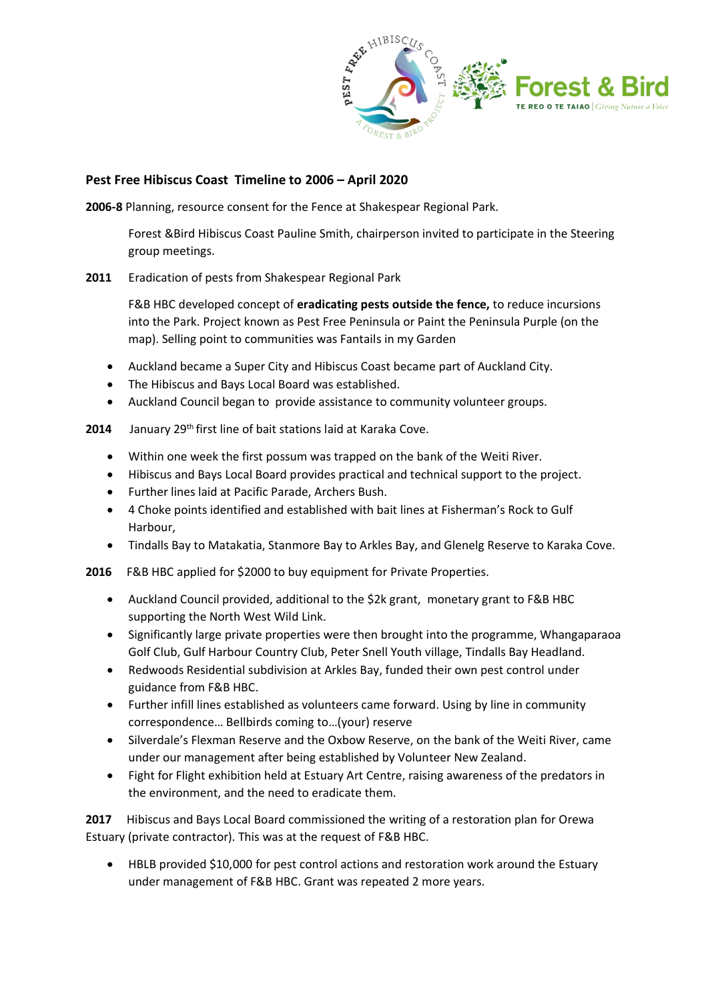

## **Pest Free Hibiscus Coast Timeline to 2006 – April 2020**

**2006-8** Planning, resource consent for the Fence at Shakespear Regional Park.

Forest &Bird Hibiscus Coast Pauline Smith, chairperson invited to participate in the Steering group meetings.

**2011** Eradication of pests from Shakespear Regional Park

F&B HBC developed concept of **eradicating pests outside the fence,** to reduce incursions into the Park. Project known as Pest Free Peninsula or Paint the Peninsula Purple (on the map). Selling point to communities was Fantails in my Garden

- Auckland became a Super City and Hibiscus Coast became part of Auckland City.
- The Hibiscus and Bays Local Board was established.
- Auckland Council began to provide assistance to community volunteer groups.

**2014** January 29<sup>th</sup> first line of bait stations laid at Karaka Cove.

- Within one week the first possum was trapped on the bank of the Weiti River.
- Hibiscus and Bays Local Board provides practical and technical support to the project.
- Further lines laid at Pacific Parade, Archers Bush.
- 4 Choke points identified and established with bait lines at Fisherman's Rock to Gulf Harbour,
- Tindalls Bay to Matakatia, Stanmore Bay to Arkles Bay, and Glenelg Reserve to Karaka Cove.

**2016** F&B HBC applied for \$2000 to buy equipment for Private Properties.

- Auckland Council provided, additional to the \$2k grant, monetary grant to F&B HBC supporting the North West Wild Link.
- Significantly large private properties were then brought into the programme, Whangaparaoa Golf Club, Gulf Harbour Country Club, Peter Snell Youth village, Tindalls Bay Headland.
- Redwoods Residential subdivision at Arkles Bay, funded their own pest control under guidance from F&B HBC.
- Further infill lines established as volunteers came forward. Using by line in community correspondence… Bellbirds coming to…(your) reserve
- Silverdale's Flexman Reserve and the Oxbow Reserve, on the bank of the Weiti River, came under our management after being established by Volunteer New Zealand.
- Fight for Flight exhibition held at Estuary Art Centre, raising awareness of the predators in the environment, and the need to eradicate them.

**2017** Hibiscus and Bays Local Board commissioned the writing of a restoration plan for Orewa Estuary (private contractor). This was at the request of F&B HBC.

• HBLB provided \$10,000 for pest control actions and restoration work around the Estuary under management of F&B HBC. Grant was repeated 2 more years.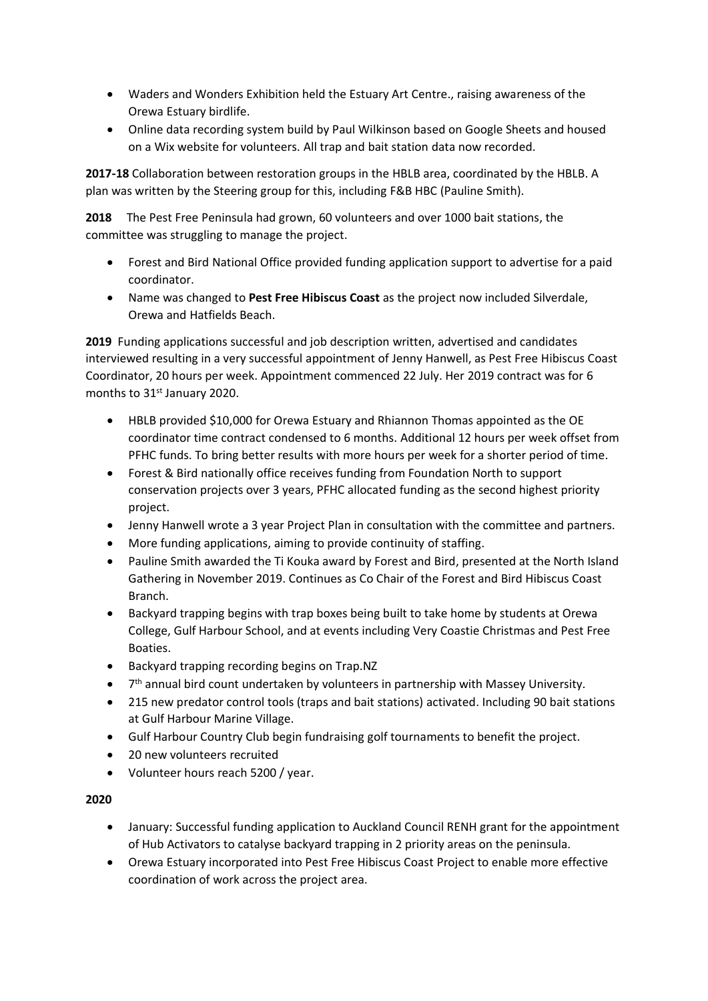- Waders and Wonders Exhibition held the Estuary Art Centre., raising awareness of the Orewa Estuary birdlife.
- Online data recording system build by Paul Wilkinson based on Google Sheets and housed on a Wix website for volunteers. All trap and bait station data now recorded.

**2017-18** Collaboration between restoration groups in the HBLB area, coordinated by the HBLB. A plan was written by the Steering group for this, including F&B HBC (Pauline Smith).

**2018** The Pest Free Peninsula had grown, 60 volunteers and over 1000 bait stations, the committee was struggling to manage the project.

- Forest and Bird National Office provided funding application support to advertise for a paid coordinator.
- Name was changed to **Pest Free Hibiscus Coast** as the project now included Silverdale, Orewa and Hatfields Beach.

**2019** Funding applications successful and job description written, advertised and candidates interviewed resulting in a very successful appointment of Jenny Hanwell, as Pest Free Hibiscus Coast Coordinator, 20 hours per week. Appointment commenced 22 July. Her 2019 contract was for 6 months to 31<sup>st</sup> January 2020.

- HBLB provided \$10,000 for Orewa Estuary and Rhiannon Thomas appointed as the OE coordinator time contract condensed to 6 months. Additional 12 hours per week offset from PFHC funds. To bring better results with more hours per week for a shorter period of time.
- Forest & Bird nationally office receives funding from Foundation North to support conservation projects over 3 years, PFHC allocated funding as the second highest priority project.
- Jenny Hanwell wrote a 3 year Project Plan in consultation with the committee and partners.
- More funding applications, aiming to provide continuity of staffing.
- Pauline Smith awarded the Ti Kouka award by Forest and Bird, presented at the North Island Gathering in November 2019. Continues as Co Chair of the Forest and Bird Hibiscus Coast Branch.
- Backyard trapping begins with trap boxes being built to take home by students at Orewa College, Gulf Harbour School, and at events including Very Coastie Christmas and Pest Free Boaties.
- Backyard trapping recording begins on Trap.NZ
- 7<sup>th</sup> annual bird count undertaken by volunteers in partnership with Massey University.
- 215 new predator control tools (traps and bait stations) activated. Including 90 bait stations at Gulf Harbour Marine Village.
- Gulf Harbour Country Club begin fundraising golf tournaments to benefit the project.
- 20 new volunteers recruited
- Volunteer hours reach 5200 / year.

## **2020**

- January: Successful funding application to Auckland Council RENH grant for the appointment of Hub Activators to catalyse backyard trapping in 2 priority areas on the peninsula.
- Orewa Estuary incorporated into Pest Free Hibiscus Coast Project to enable more effective coordination of work across the project area.